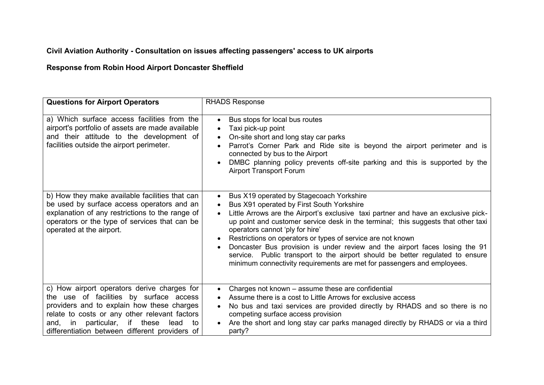# **Civil Aviation Authority - Consultation on issues affecting passengers' access to UK airports**

# **Response from Robin Hood Airport Doncaster Sheffield**

| <b>Questions for Airport Operators</b>                                                                                                                                                                                                                                                         | <b>RHADS Response</b>                                                                                                                                                                                                                                                                                                                                                                                                                                                                                                                                                                                                      |
|------------------------------------------------------------------------------------------------------------------------------------------------------------------------------------------------------------------------------------------------------------------------------------------------|----------------------------------------------------------------------------------------------------------------------------------------------------------------------------------------------------------------------------------------------------------------------------------------------------------------------------------------------------------------------------------------------------------------------------------------------------------------------------------------------------------------------------------------------------------------------------------------------------------------------------|
| a) Which surface access facilities from the<br>airport's portfolio of assets are made available<br>and their attitude to the development of<br>facilities outside the airport perimeter.                                                                                                       | Bus stops for local bus routes<br>$\bullet$<br>Taxi pick-up point<br>On-site short and long stay car parks<br>$\bullet$<br>Parrot's Corner Park and Ride site is beyond the airport perimeter and is<br>$\bullet$<br>connected by bus to the Airport<br>DMBC planning policy prevents off-site parking and this is supported by the<br><b>Airport Transport Forum</b>                                                                                                                                                                                                                                                      |
| b) How they make available facilities that can<br>be used by surface access operators and an<br>explanation of any restrictions to the range of<br>operators or the type of services that can be<br>operated at the airport.                                                                   | Bus X19 operated by Stagecoach Yorkshire<br>Bus X91 operated by First South Yorkshire<br>Little Arrows are the Airport's exclusive taxi partner and have an exclusive pick-<br>$\bullet$<br>up point and customer service desk in the terminal; this suggests that other taxi<br>operators cannot 'ply for hire'<br>Restrictions on operators or types of service are not known<br>Doncaster Bus provision is under review and the airport faces losing the 91<br>service. Public transport to the airport should be better regulated to ensure<br>minimum connectivity requirements are met for passengers and employees. |
| c) How airport operators derive charges for<br>the use of facilities by surface access<br>providers and to explain how these charges<br>relate to costs or any other relevant factors<br>particular,<br>if these<br>lead<br>and,<br>in<br>to<br>differentiation between different providers of | Charges not known - assume these are confidential<br>Assume there is a cost to Little Arrows for exclusive access<br>$\bullet$<br>No bus and taxi services are provided directly by RHADS and so there is no<br>$\bullet$<br>competing surface access provision<br>Are the short and long stay car parks managed directly by RHADS or via a third<br>$\bullet$<br>party?                                                                                                                                                                                                                                                   |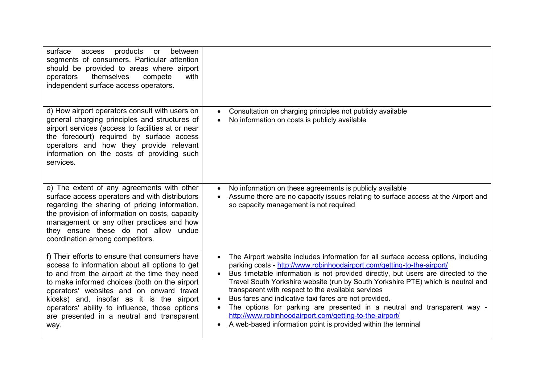| surface<br>products<br>between<br>access<br>or<br>segments of consumers. Particular attention<br>should be provided to areas where airport<br>themselves<br>operators<br>compete<br>with<br>independent surface access operators.                                                                                                                                                                   |                                                                                                                                                                                                                                                                                                                                                                                                                                                                                                                                                                                                                                                                            |
|-----------------------------------------------------------------------------------------------------------------------------------------------------------------------------------------------------------------------------------------------------------------------------------------------------------------------------------------------------------------------------------------------------|----------------------------------------------------------------------------------------------------------------------------------------------------------------------------------------------------------------------------------------------------------------------------------------------------------------------------------------------------------------------------------------------------------------------------------------------------------------------------------------------------------------------------------------------------------------------------------------------------------------------------------------------------------------------------|
| d) How airport operators consult with users on<br>general charging principles and structures of<br>airport services (access to facilities at or near<br>the forecourt) required by surface access<br>operators and how they provide relevant<br>information on the costs of providing such<br>services.                                                                                             | Consultation on charging principles not publicly available<br>$\bullet$<br>No information on costs is publicly available                                                                                                                                                                                                                                                                                                                                                                                                                                                                                                                                                   |
| e) The extent of any agreements with other<br>surface access operators and with distributors<br>regarding the sharing of pricing information,<br>the provision of information on costs, capacity<br>management or any other practices and how<br>they ensure these do not allow undue<br>coordination among competitors.                                                                            | No information on these agreements is publicly available<br>$\bullet$<br>Assume there are no capacity issues relating to surface access at the Airport and<br>so capacity management is not required                                                                                                                                                                                                                                                                                                                                                                                                                                                                       |
| f) Their efforts to ensure that consumers have<br>access to information about all options to get<br>to and from the airport at the time they need<br>to make informed choices (both on the airport<br>operators' websites and on onward travel<br>kiosks) and, insofar as it is the airport<br>operators' ability to influence, those options<br>are presented in a neutral and transparent<br>way. | The Airport website includes information for all surface access options, including<br>$\bullet$<br>parking costs - http://www.robinhoodairport.com/getting-to-the-airport/<br>Bus timetable information is not provided directly, but users are directed to the<br>Travel South Yorkshire website (run by South Yorkshire PTE) which is neutral and<br>transparent with respect to the available services<br>Bus fares and indicative taxi fares are not provided.<br>The options for parking are presented in a neutral and transparent way -<br>http://www.robinhoodairport.com/getting-to-the-airport/<br>A web-based information point is provided within the terminal |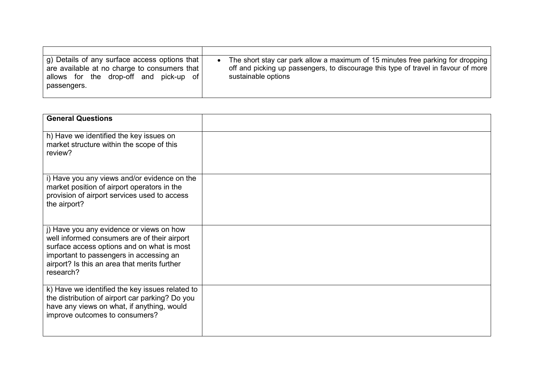| g) Details of any surface access options that  <br>are available at no charge to consumers that<br>allows for the drop-off and pick-up of<br>passengers. | The short stay car park allow a maximum of 15 minutes free parking for dropping<br>off and picking up passengers, to discourage this type of travel in favour of more<br>sustainable options |
|----------------------------------------------------------------------------------------------------------------------------------------------------------|----------------------------------------------------------------------------------------------------------------------------------------------------------------------------------------------|

| <b>General Questions</b>                                                                                                                                                                                                                       |  |
|------------------------------------------------------------------------------------------------------------------------------------------------------------------------------------------------------------------------------------------------|--|
| h) Have we identified the key issues on<br>market structure within the scope of this<br>review?                                                                                                                                                |  |
| i) Have you any views and/or evidence on the<br>market position of airport operators in the<br>provision of airport services used to access<br>the airport?                                                                                    |  |
| j) Have you any evidence or views on how<br>well informed consumers are of their airport<br>surface access options and on what is most<br>important to passengers in accessing an<br>airport? Is this an area that merits further<br>research? |  |
| k) Have we identified the key issues related to<br>the distribution of airport car parking? Do you<br>have any views on what, if anything, would<br>improve outcomes to consumers?                                                             |  |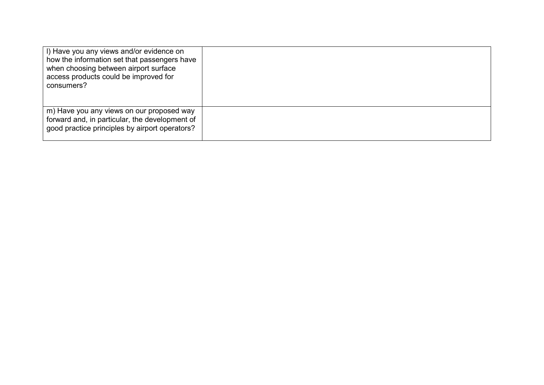| I) Have you any views and/or evidence on<br>how the information set that passengers have<br>when choosing between airport surface<br>access products could be improved for<br>consumers? |  |
|------------------------------------------------------------------------------------------------------------------------------------------------------------------------------------------|--|
| m) Have you any views on our proposed way<br>forward and, in particular, the development of<br>good practice principles by airport operators?                                            |  |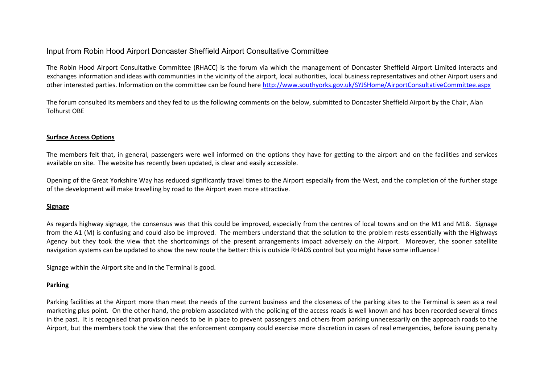### Input from Robin Hood Airport Doncaster Sheffield Airport Consultative Committee

The Robin Hood Airport Consultative Committee (RHACC) is the forum via which the management of [Doncaster Sheffield Airport](http://www.robinhoodairport.com/) Limited interacts and exchanges information and ideas with communities in the vicinity of the airport, local authorities, local business representatives and other Airport users and other interested parties. Information on the committee can be found here<http://www.southyorks.gov.uk/SYJSHome/AirportConsultativeCommittee.aspx>

The forum consulted its members and they fed to us the following comments on the below, submitted to Doncaster Sheffield Airport by the Chair, Alan Tolhurst OBE

### **Surface Access Options**

The members felt that, in general, passengers were well informed on the options they have for getting to the airport and on the facilities and services available on site. The website has recently been updated, is clear and easily accessible.

Opening of the Great Yorkshire Way has reduced significantly travel times to the Airport especially from the West, and the completion of the further stage of the development will make travelling by road to the Airport even more attractive.

#### **Signage**

As regards highway signage, the consensus was that this could be improved, especially from the centres of local towns and on the M1 and M18. Signage from the A1 (M) is confusing and could also be improved. The members understand that the solution to the problem rests essentially with the Highways Agency but they took the view that the shortcomings of the present arrangements impact adversely on the Airport. Moreover, the sooner satellite navigation systems can be updated to show the new route the better: this is outside RHADS control but you might have some influence!

Signage within the Airport site and in the Terminal is good.

#### **Parking**

Parking facilities at the Airport more than meet the needs of the current business and the closeness of the parking sites to the Terminal is seen as a real marketing plus point. On the other hand, the problem associated with the policing of the access roads is well known and has been recorded several times in the past. It is recognised that provision needs to be in place to prevent passengers and others from parking unnecessarily on the approach roads to the Airport, but the members took the view that the enforcement company could exercise more discretion in cases of real emergencies, before issuing penalty